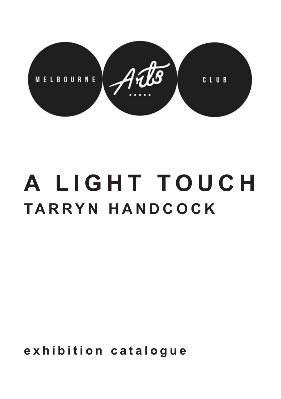

# **A LIGHT TOUCH TARRYN HANDCOCK**

**exhibition catalogue**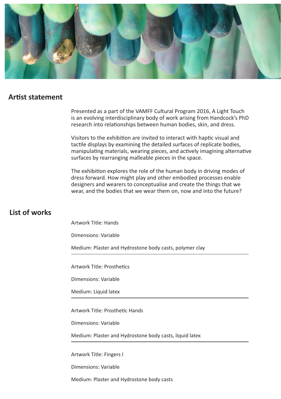

#### **Artist statement**

Presented as a part of the VAMFF Cultural Program 2016, A Light Touch is an evolving interdisciplinary body of work arising from Handcock's PhD research into relationships between human bodies, skin, and dress.

Visitors to the exhibition are invited to interact with haptic visual and tactile displays by examining the detailed surfaces of replicate bodies, manipulating materials, wearing pieces, and actively imagining alternative surfaces by rearranging malleable pieces in the space.

The exhibition explores the role of the human body in driving modes of dress forward. How might play and other embodied processes enable designers and wearers to conceptualise and create the things that we wear, and the bodies that we wear them on, now and into the future?

## **List of works**

Artwork Title: Hands

Dimensions: Variable

Medium: Plaster and Hydrostone body casts, polymer clay

Artwork Title: Prosthetics

Dimensions: Variable

Medium: Liquid latex

Artwork Title: Prosthetic Hands

Dimensions: Variable

Medium: Plaster and Hydrostone body casts, liquid latex

Artwork Title: Fingers I

Dimensions: Variable

Medium: Plaster and Hydrostone body casts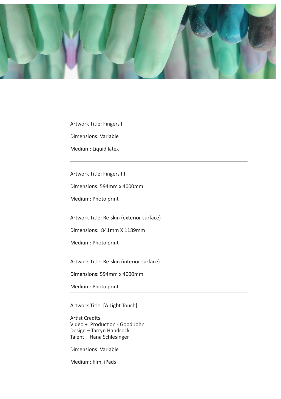

Artwork Title: Fingers II

Dimensions: Variable

Medium: Liquid latex

Artwork Title: Fingers III

Dimensions: 594mm x 4000mm

Medium: Photo print

Artwork Title: Re-skin (exterior surface)

Dimensions: 841mm X 1189mm

Medium: Photo print

Artwork Title: Re-skin (interior surface)

Dimensions: 594mm x 4000mm

Medium: Photo print

Artwork Title: [A Light Touch]

Artist Credits: Video + Production - Good John Design – Tarryn Handcock Talent – Hana Schlesinger

Dimensions: Variable

Medium: film, iPads